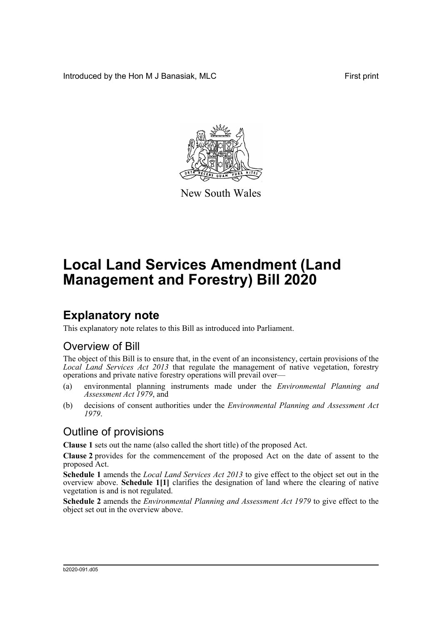Introduced by the Hon M J Banasiak, MLC First print



New South Wales

# **Local Land Services Amendment (Land Management and Forestry) Bill 2020**

## **Explanatory note**

This explanatory note relates to this Bill as introduced into Parliament.

### Overview of Bill

The object of this Bill is to ensure that, in the event of an inconsistency, certain provisions of the *Local Land Services Act 2013* that regulate the management of native vegetation, forestry operations and private native forestry operations will prevail over—

- (a) environmental planning instruments made under the *Environmental Planning and Assessment Act 1979*, and
- (b) decisions of consent authorities under the *Environmental Planning and Assessment Act 1979*.

### Outline of provisions

**Clause 1** sets out the name (also called the short title) of the proposed Act.

**Clause 2** provides for the commencement of the proposed Act on the date of assent to the proposed Act.

**Schedule 1** amends the *Local Land Services Act 2013* to give effect to the object set out in the overview above. **Schedule 1[1]** clarifies the designation of land where the clearing of native vegetation is and is not regulated.

**Schedule 2** amends the *Environmental Planning and Assessment Act 1979* to give effect to the object set out in the overview above.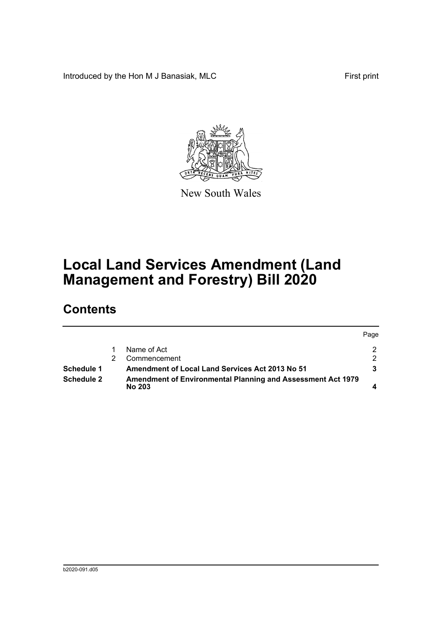Introduced by the Hon M J Banasiak, MLC First print



New South Wales

# **Local Land Services Amendment (Land Management and Forestry) Bill 2020**

## **Contents**

|                   |                                                                              | Page |
|-------------------|------------------------------------------------------------------------------|------|
|                   | Name of Act                                                                  | 2.   |
|                   | Commencement                                                                 | 2.   |
| Schedule 1        | <b>Amendment of Local Land Services Act 2013 No 51</b>                       |      |
| <b>Schedule 2</b> | Amendment of Environmental Planning and Assessment Act 1979<br><b>No 203</b> |      |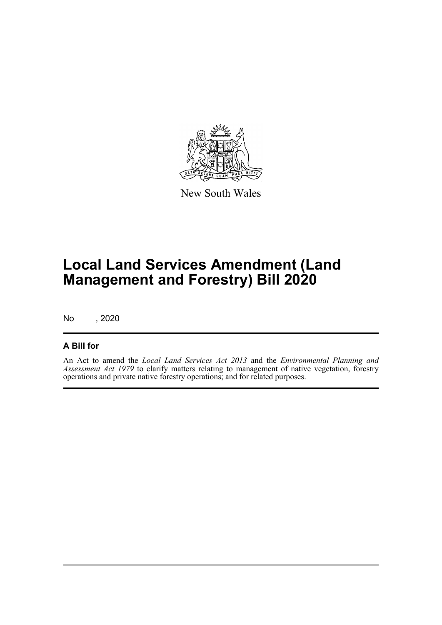

New South Wales

# **Local Land Services Amendment (Land Management and Forestry) Bill 2020**

No , 2020

#### **A Bill for**

An Act to amend the *Local Land Services Act 2013* and the *Environmental Planning and Assessment Act 1979* to clarify matters relating to management of native vegetation, forestry operations and private native forestry operations; and for related purposes.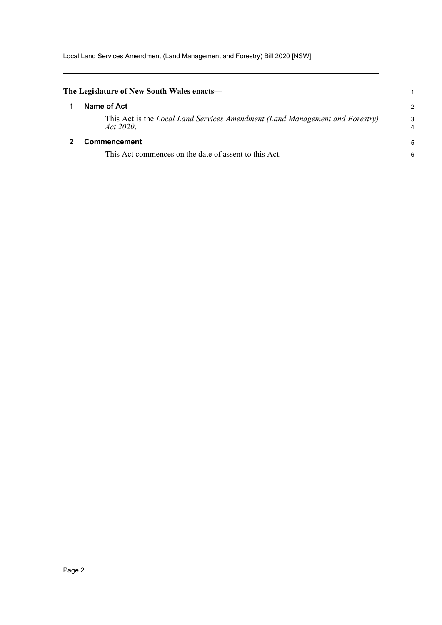<span id="page-3-1"></span><span id="page-3-0"></span>

| The Legislature of New South Wales enacts—                                                |        |
|-------------------------------------------------------------------------------------------|--------|
| Name of Act                                                                               | 2      |
| This Act is the Local Land Services Amendment (Land Management and Forestry)<br>Act 2020. | 3<br>4 |
| <b>Commencement</b>                                                                       | 5      |
| This Act commences on the date of assent to this Act.                                     | 6      |
|                                                                                           |        |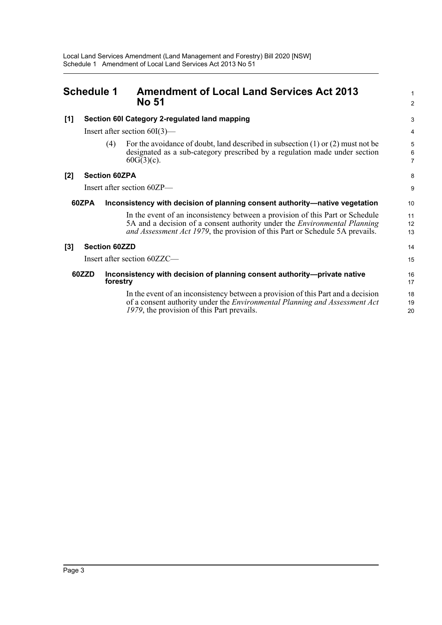<span id="page-4-0"></span>

| <b>Schedule 1</b> |                                                                                      |                                                                                      | <b>Amendment of Local Land Services Act 2013</b><br><b>No 51</b>                                                                                                                                                                                  |                                       |
|-------------------|--------------------------------------------------------------------------------------|--------------------------------------------------------------------------------------|---------------------------------------------------------------------------------------------------------------------------------------------------------------------------------------------------------------------------------------------------|---------------------------------------|
| [1]               | Section 60I Category 2-regulated land mapping<br>Insert after section $60I(3)$ —     |                                                                                      |                                                                                                                                                                                                                                                   | 3                                     |
|                   |                                                                                      |                                                                                      |                                                                                                                                                                                                                                                   | 4                                     |
|                   |                                                                                      | (4)                                                                                  | For the avoidance of doubt, land described in subsection $(1)$ or $(2)$ must not be<br>designated as a sub-category prescribed by a regulation made under section<br>$60G(3)(c)$ .                                                                | 5<br>$6\phantom{1}$<br>$\overline{7}$ |
| [2]               | <b>Section 60ZPA</b>                                                                 |                                                                                      |                                                                                                                                                                                                                                                   | 8                                     |
|                   |                                                                                      |                                                                                      | Insert after section 60ZP—                                                                                                                                                                                                                        | 9                                     |
|                   | 60ZPA<br>Inconsistency with decision of planning consent authority—native vegetation |                                                                                      |                                                                                                                                                                                                                                                   | 10                                    |
|                   |                                                                                      |                                                                                      | In the event of an inconsistency between a provision of this Part or Schedule<br>5A and a decision of a consent authority under the <i>Environmental Planning</i><br>and Assessment Act 1979, the provision of this Part or Schedule 5A prevails. | 11<br>12<br>13                        |
| $[3]$             | <b>Section 60ZZD</b>                                                                 |                                                                                      |                                                                                                                                                                                                                                                   | 14                                    |
|                   |                                                                                      |                                                                                      | Insert after section 60ZZC-                                                                                                                                                                                                                       | 15                                    |
| 60ZZD             |                                                                                      | Inconsistency with decision of planning consent authority-private native<br>forestry |                                                                                                                                                                                                                                                   | 16<br>17                              |
|                   |                                                                                      |                                                                                      | In the event of an inconsistency between a provision of this Part and a decision<br>of a consent authority under the <i>Environmental Planning and Assessment Act</i><br>1979, the provision of this Part prevails.                               | 18<br>19<br>20                        |